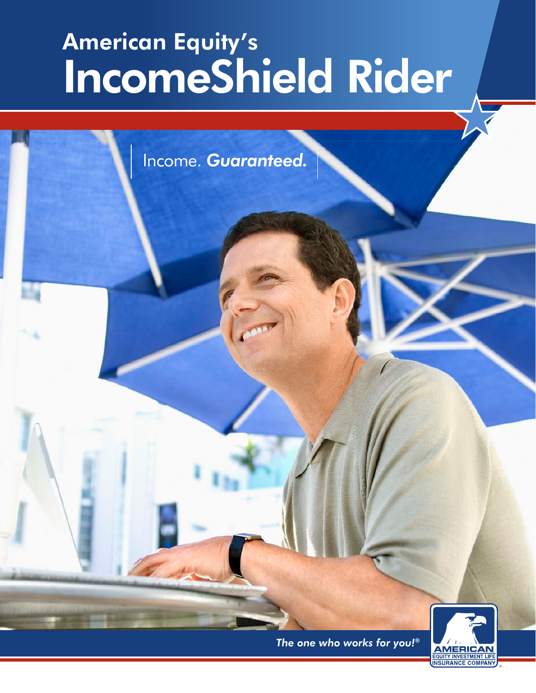# IncomeShield Rider American Equity's



*The one who works for you!®*



®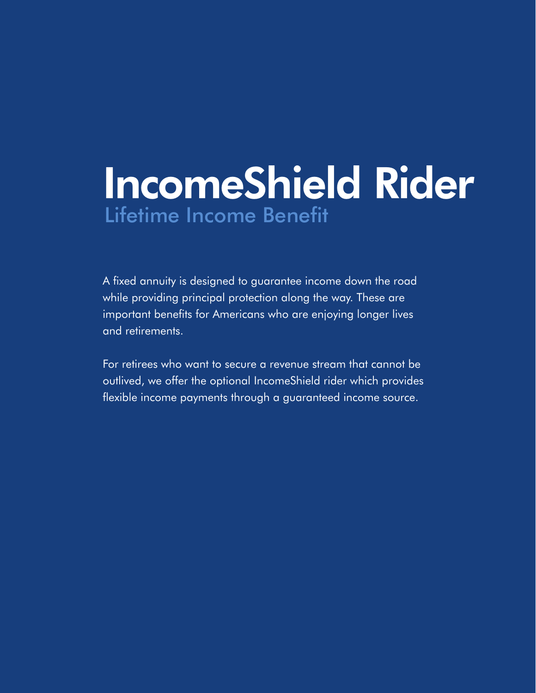## IncomeShield Rider Lifetime Income Benefit

A fixed annuity is designed to guarantee income down the road while providing principal protection along the way. These are important benefits for Americans who are enjoying longer lives and retirements.

For retirees who want to secure a revenue stream that cannot be outlived, we offer the optional IncomeShield rider which provides flexible income payments through a guaranteed income source.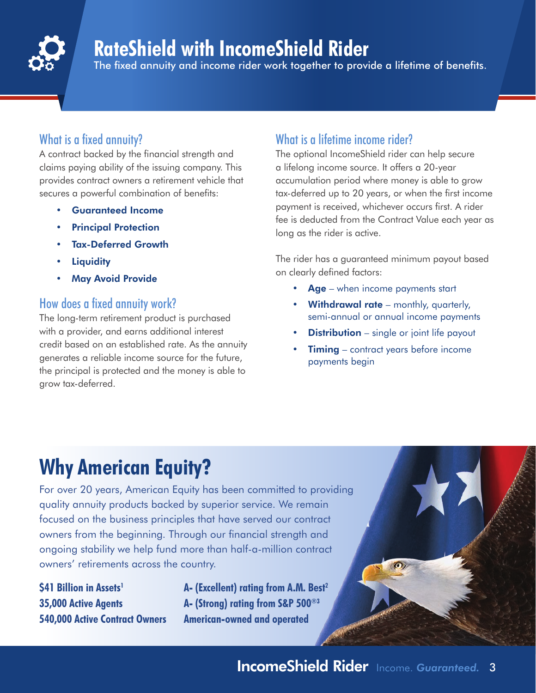### **RateShield with IncomeShield Rider**

The fixed annuity and income rider work together to provide a lifetime of benefits.

### What is a fixed annuity?

A contract backed by the financial strength and claims paying ability of the issuing company. This provides contract owners a retirement vehicle that secures a powerful combination of benefits:

- Guaranteed Income
- Principal Protection
- Tax-Deferred Growth
- **Liquidity**
- **May Avoid Provide**

### How does a fixed annuity work?

The long-term retirement product is purchased with a provider, and earns additional interest credit based on an established rate. As the annuity generates a reliable income source for the future, the principal is protected and the money is able to grow tax-deferred.

### What is a lifetime income rider?

The optional IncomeShield rider can help secure a lifelong income source. It offers a 20-year accumulation period where money is able to grow tax-deferred up to 20 years, or when the first income payment is received, whichever occurs first. A rider fee is deducted from the Contract Value each year as long as the rider is active.

The rider has a guaranteed minimum payout based on clearly defined factors:

- Age when income payments start
- Withdrawal rate monthly, quarterly, semi-annual or annual income payments
- **Distribution** single or joint life payout
- **Timing** contract years before income payments begin

## **Why American Equity?**

For over 20 years, American Equity has been committed to providing quality annuity products backed by superior service. We remain focused on the business principles that have served our contract owners from the beginning. Through our financial strength and ongoing stability we help fund more than half-a-million contract owners' retirements across the country.

**\$41 Billion in Assets1 35,000 Active Agents 540,000 Active Contract Owners** **A- (Excellent) rating from A.M. Best2 A- (Strong) rating from S&P 500®3 American-owned and operated**

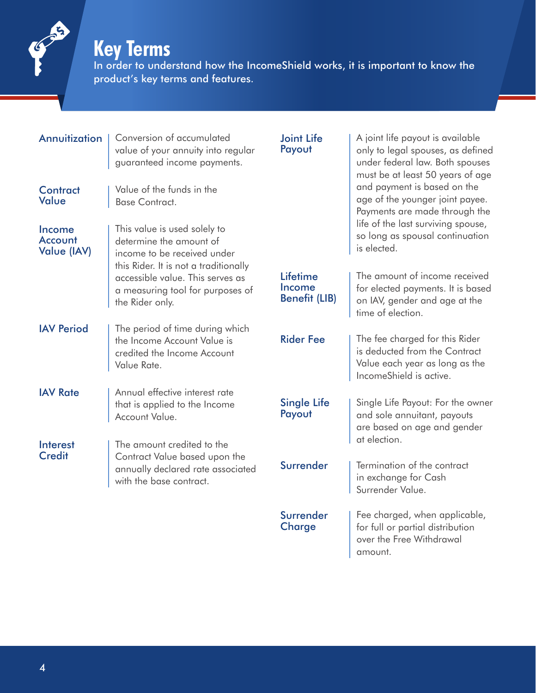### **Key Terms**

 $\frac{1}{2}$ 

In order to understand how the IncomeShield works, it is important to know the product's key terms and features.

| Annuitization                           | Conversion of accumulated<br>value of your annuity into regular<br>guaranteed income payments.                                  | <b>Joint Life</b><br>Payout                | A joint life payout is available<br>only to legal spouses, as defined<br>under federal law. Both spouses<br>must be at least 50 years of age |  |  |
|-----------------------------------------|---------------------------------------------------------------------------------------------------------------------------------|--------------------------------------------|----------------------------------------------------------------------------------------------------------------------------------------------|--|--|
| <b>Contract</b><br>Value                | Value of the funds in the<br><b>Base Contract.</b>                                                                              |                                            | and payment is based on the<br>age of the younger joint payee.<br>Payments are made through the                                              |  |  |
| Income<br>Account<br><b>Value (IAV)</b> | This value is used solely to<br>determine the amount of<br>income to be received under<br>this Rider. It is not a traditionally |                                            | life of the last surviving spouse,<br>so long as spousal continuation<br>is elected.                                                         |  |  |
|                                         | accessible value. This serves as<br>a measuring tool for purposes of<br>the Rider only.                                         | Lifetime<br>Income<br><b>Benefit (LIB)</b> | The amount of income received<br>for elected payments. It is based<br>on IAV, gender and age at the<br>time of election.                     |  |  |
| <b>IAV Period</b>                       | The period of time during which<br>the Income Account Value is<br>credited the Income Account<br>Value Rate.                    | <b>Rider Fee</b>                           | The fee charged for this Rider<br>is deducted from the Contract<br>Value each year as long as the<br>IncomeShield is active.                 |  |  |
| <b>IAV Rate</b>                         | Annual effective interest rate<br>that is applied to the Income<br>Account Value.                                               | <b>Single Life</b><br>Payout               | Single Life Payout: For the owner<br>and sole annuitant, payouts<br>are based on age and gender                                              |  |  |
| <b>Interest</b><br><b>Credit</b>        | The amount credited to the<br>Contract Value based upon the<br>annually declared rate associated<br>with the base contract.     | Surrender                                  | at election.<br>Termination of the contract<br>in exchange for Cash<br>Surrender Value.                                                      |  |  |
|                                         |                                                                                                                                 | Surrender<br><b>Charge</b>                 | Fee charged, when applicable,<br>for full or partial distribution<br>over the Free Withdrawal<br>amount.                                     |  |  |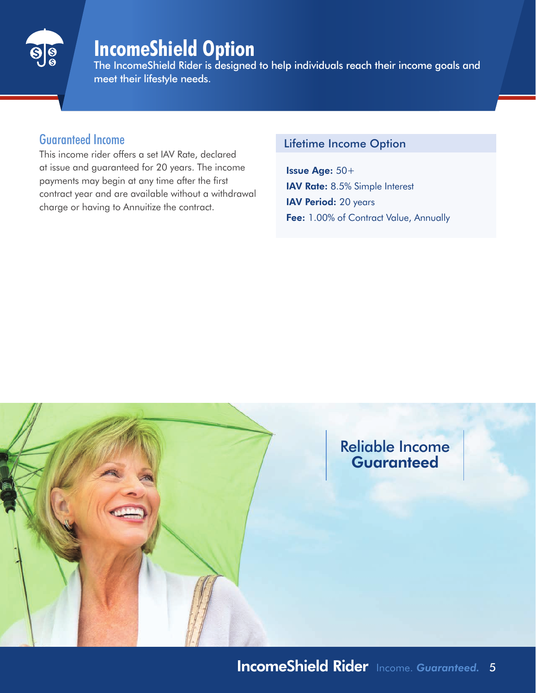

### **IncomeShield Option**

The IncomeShield Rider is designed to help individuals reach their income goals and meet their lifestyle needs.

### Guaranteed Income

This income rider offers a set IAV Rate, declared at issue and guaranteed for 20 years. The income payments may begin at any time after the first contract year and are available without a withdrawal charge or having to Annuitize the contract.

#### Lifetime Income Option

Issue Age: 50+ IAV Rate: 8.5% Simple Interest IAV Period: 20 years Fee: 1.00% of Contract Value, Annually

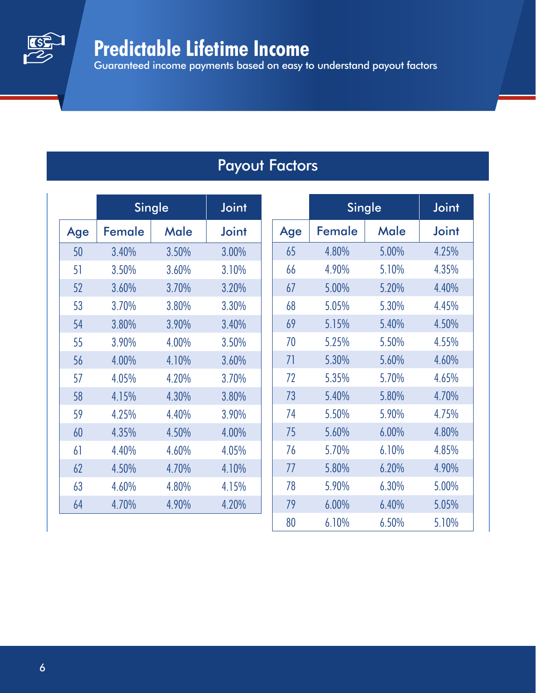### **Predictable Lifetime Income**

Guaranteed income payments based on easy to understand payout factors

### Payout Factors

|                | <b>Single</b> |       | Joint        |     | <b>Single</b> |       | <b>Joint</b> |
|----------------|---------------|-------|--------------|-----|---------------|-------|--------------|
| Age            | Female        | Male  | <b>Joint</b> | Age | Female        | Male  | <b>Joint</b> |
| 50             | 3.40%         | 3.50% | 3.00%        | 65  | 4.80%         | 5.00% | 4.25%        |
| 51             | 3.50%         | 3.60% | 3.10%        | 66  | 4.90%         | 5.10% | 4.35%        |
| 52             | 3.60%         | 3.70% | 3.20%        | 67  | 5.00%         | 5.20% | 4.40%        |
| 53             | 3.70%         | 3.80% | 3.30%        | 68  | 5.05%         | 5.30% | 4.45%        |
| 54             | 3.80%         | 3.90% | 3.40%        | 69  | 5.15%         | 5.40% | 4.50%        |
| 55             | 3.90%         | 4.00% | 3.50%        | 70  | 5.25%         | 5.50% | 4.55%        |
| 56             | 4.00%         | 4.10% | 3.60%        | 71  | 5.30%         | 5.60% | 4.60%        |
| 57             | 4.05%         | 4.20% | 3.70%        | 72  | 5.35%         | 5.70% | 4.65%        |
| 58             | 4.15%         | 4.30% | 3.80%        | 73  | 5.40%         | 5.80% | 4.70%        |
| 59             | 4.25%         | 4.40% | 3.90%        | 74  | 5.50%         | 5.90% | 4.75%        |
| 60             | 4.35%         | 4.50% | 4.00%        | 75  | 5.60%         | 6.00% | 4.80%        |
| 6 <sup>1</sup> | 4.40%         | 4.60% | 4.05%        | 76  | 5.70%         | 6.10% | 4.85%        |
| 62             | 4.50%         | 4.70% | 4.10%        | 77  | 5.80%         | 6.20% | 4.90%        |
| 63             | 4.60%         | 4.80% | 4.15%        | 78  | 5.90%         | 6.30% | 5.00%        |
| 64             | 4.70%         | 4.90% | 4.20%        | 79  | 6.00%         | 6.40% | 5.05%        |
|                |               |       |              | 80  | 6.10%         | 6.50% | 5.10%        |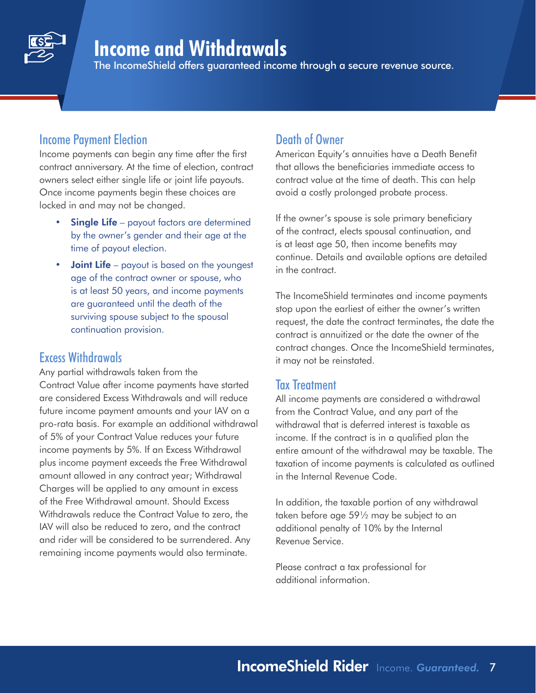

### **Income and Withdrawals**

The IncomeShield offers guaranteed income through a secure revenue source.

#### Income Payment Election

Income payments can begin any time after the first contract anniversary. At the time of election, contract owners select either single life or joint life payouts. Once income payments begin these choices are locked in and may not be changed.

- **Single Life** payout factors are determined by the owner's gender and their age at the time of payout election.
- **Joint Life** payout is based on the youngest age of the contract owner or spouse, who is at least 50 years, and income payments are guaranteed until the death of the surviving spouse subject to the spousal continuation provision.

### Excess Withdrawals

Any partial withdrawals taken from the Contract Value after income payments have started are considered Excess Withdrawals and will reduce future income payment amounts and your IAV on a pro-rata basis. For example an additional withdrawal of 5% of your Contract Value reduces your future income payments by 5%. If an Excess Withdrawal plus income payment exceeds the Free Withdrawal amount allowed in any contract year; Withdrawal Charges will be applied to any amount in excess of the Free Withdrawal amount. Should Excess Withdrawals reduce the Contract Value to zero, the IAV will also be reduced to zero, and the contract and rider will be considered to be surrendered. Any remaining income payments would also terminate.

### Death of Owner

American Equity's annuities have a Death Benefit that allows the beneficiaries immediate access to contract value at the time of death. This can help avoid a costly prolonged probate process.

If the owner's spouse is sole primary beneficiary of the contract, elects spousal continuation, and is at least age 50, then income benefits may continue. Details and available options are detailed in the contract.

The IncomeShield terminates and income payments stop upon the earliest of either the owner's written request, the date the contract terminates, the date the contract is annuitized or the date the owner of the contract changes. Once the IncomeShield terminates, it may not be reinstated.

### Tax Treatment

All income payments are considered a withdrawal from the Contract Value, and any part of the withdrawal that is deferred interest is taxable as income. If the contract is in a qualified plan the entire amount of the withdrawal may be taxable. The taxation of income payments is calculated as outlined in the Internal Revenue Code.

In addition, the taxable portion of any withdrawal taken before age 59½ may be subject to an additional penalty of 10% by the Internal Revenue Service.

Please contract a tax professional for additional information.